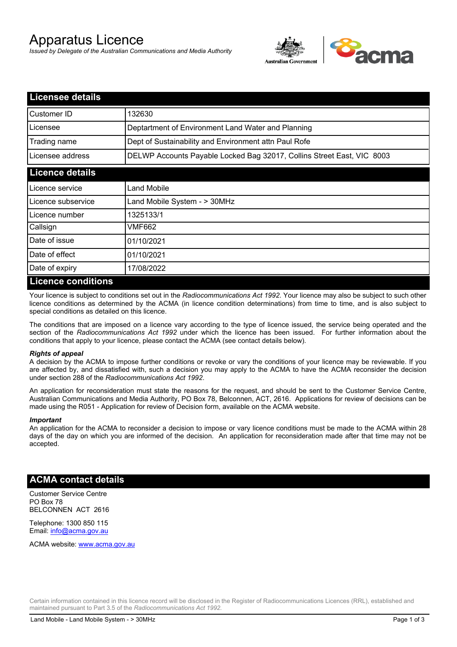# Apparatus Licence

*Issued by Delegate of the Australian Communications and Media Authority*



| <b>Licensee details</b> |                                                                        |  |  |
|-------------------------|------------------------------------------------------------------------|--|--|
| Customer ID             | 132630                                                                 |  |  |
| Licensee                | Deptartment of Environment Land Water and Planning                     |  |  |
| Trading name            | Dept of Sustainability and Environment attn Paul Rofe                  |  |  |
| Licensee address        | DELWP Accounts Payable Locked Bag 32017, Collins Street East, VIC 8003 |  |  |
| <b>Licence details</b>  |                                                                        |  |  |
| l Licence service       | Land Mobile                                                            |  |  |
| Licence subservice      | Land Mobile System - > 30MHz                                           |  |  |
| Licence number          | 1325133/1                                                              |  |  |
| Callsign                | VMF662                                                                 |  |  |
| Date of issue           | 01/10/2021                                                             |  |  |
| Date of effect          | 01/10/2021                                                             |  |  |
| Date of expiry          | 17/08/2022                                                             |  |  |
| Licence conditions      |                                                                        |  |  |

### **Licence conditions**

Your licence is subject to conditions set out in the *Radiocommunications Act 1992*. Your licence may also be subject to such other licence conditions as determined by the ACMA (in licence condition determinations) from time to time, and is also subject to special conditions as detailed on this licence.

The conditions that are imposed on a licence vary according to the type of licence issued, the service being operated and the section of the *Radiocommunications Act 1992* under which the licence has been issued. For further information about the conditions that apply to your licence, please contact the ACMA (see contact details below).

#### *Rights of appeal*

A decision by the ACMA to impose further conditions or revoke or vary the conditions of your licence may be reviewable. If you are affected by, and dissatisfied with, such a decision you may apply to the ACMA to have the ACMA reconsider the decision under section 288 of the *Radiocommunications Act 1992*.

An application for reconsideration must state the reasons for the request, and should be sent to the Customer Service Centre, Australian Communications and Media Authority, PO Box 78, Belconnen, ACT, 2616. Applications for review of decisions can be made using the R051 - Application for review of Decision form, available on the ACMA website.

#### *Important*

An application for the ACMA to reconsider a decision to impose or vary licence conditions must be made to the ACMA within 28 days of the day on which you are informed of the decision. An application for reconsideration made after that time may not be accepted.

#### **ACMA contact details**

Customer Service Centre PO Box 78 BELCONNEN ACT 2616

Telephone: 1300 850 115 Email: info@acma.gov.au

ACMA website: www.acma.gov.au

Certain information contained in this licence record will be disclosed in the Register of Radiocommunications Licences (RRL), established and maintained pursuant to Part 3.5 of the *Radiocommunications Act 1992.*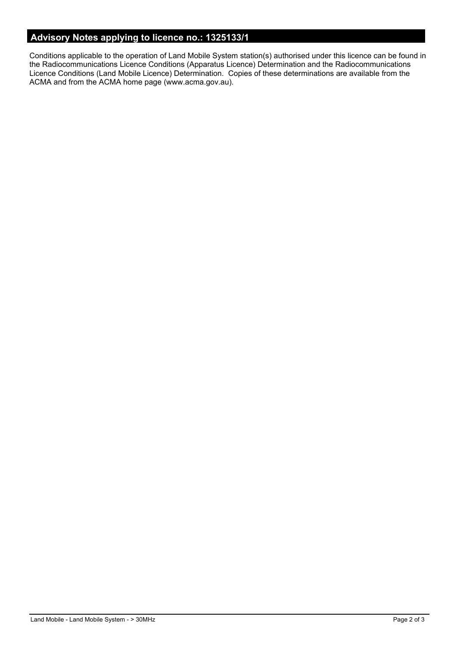# **Advisory Notes applying to licence no.: 1325133/1**

Conditions applicable to the operation of Land Mobile System station(s) authorised under this licence can be found in the Radiocommunications Licence Conditions (Apparatus Licence) Determination and the Radiocommunications Licence Conditions (Land Mobile Licence) Determination. Copies of these determinations are available from the ACMA and from the ACMA home page (www.acma.gov.au).